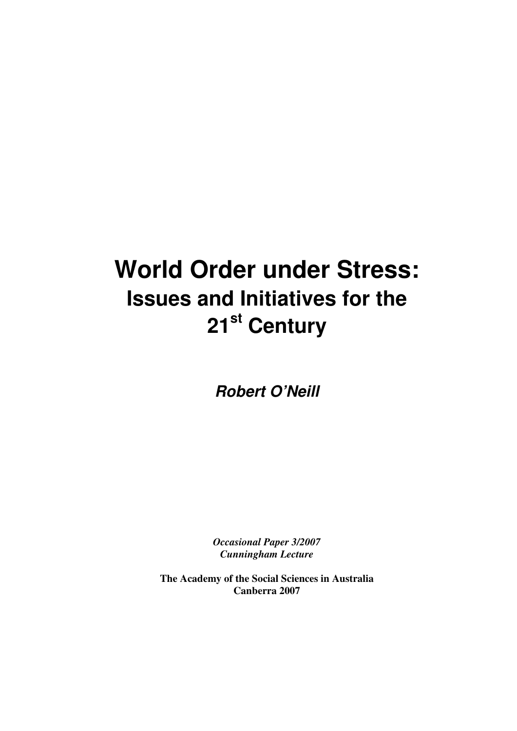**Robert O'Neill** 

*Occasional Paper 3/2007 Cunningham Lecture* 

**The Academy of the Social Sciences in Australia Canberra 2007**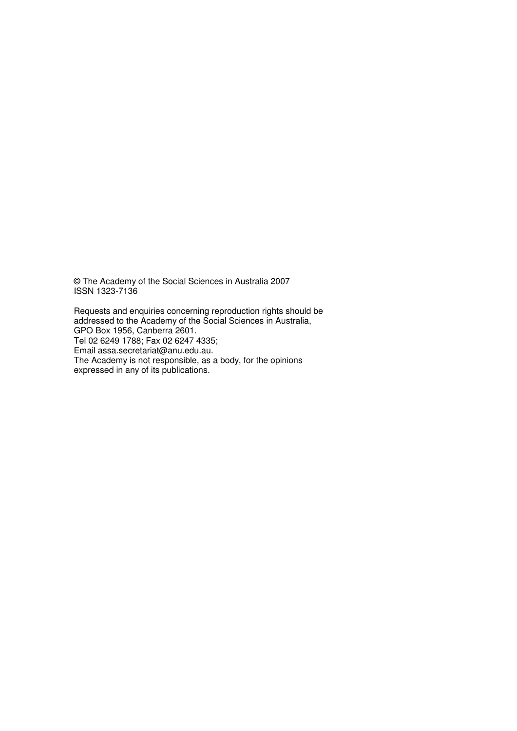© The Academy of the Social Sciences in Australia 2007 ISSN 1323-7136

Requests and enquiries concerning reproduction rights should be addressed to the Academy of the Social Sciences in Australia, GPO Box 1956, Canberra 2601. Tel 02 6249 1788; Fax 02 6247 4335; Email assa.secretariat@anu.edu.au. The Academy is not responsible, as a body, for the opinions expressed in any of its publications.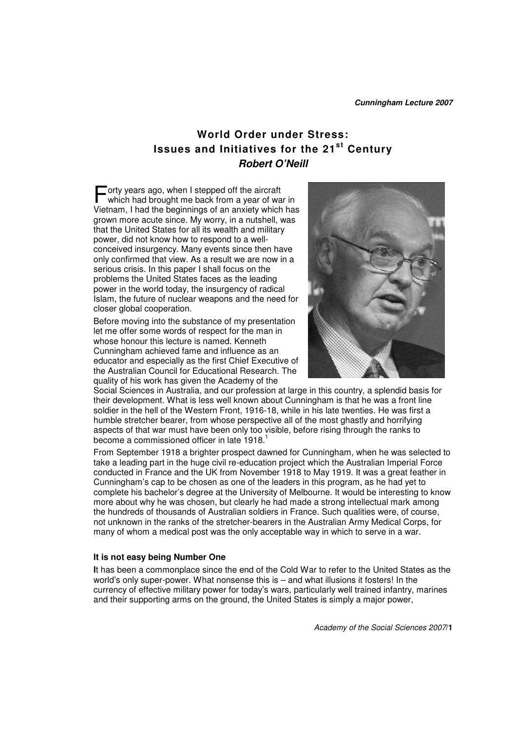# **World Order under Stress: Issues and Initiatives for the 21st Century Robert O'Neill**

**Forty years ago, when I stepped off the aircraft** which had brought me back from a year of way which had brought me back from a year of war in Vietnam, I had the beginnings of an anxiety which has grown more acute since. My worry, in a nutshell, was that the United States for all its wealth and military power, did not know how to respond to a wellconceived insurgency. Many events since then have only confirmed that view. As a result we are now in a serious crisis. In this paper I shall focus on the problems the United States faces as the leading power in the world today, the insurgency of radical Islam, the future of nuclear weapons and the need for closer global cooperation.

Before moving into the substance of my presentation let me offer some words of respect for the man in whose honour this lecture is named. Kenneth Cunningham achieved fame and influence as an educator and especially as the first Chief Executive of the Australian Council for Educational Research. The quality of his work has given the Academy of the



Social Sciences in Australia, and our profession at large in this country, a splendid basis for their development. What is less well known about Cunningham is that he was a front line soldier in the hell of the Western Front, 1916-18, while in his late twenties. He was first a humble stretcher bearer, from whose perspective all of the most ghastly and horrifying aspects of that war must have been only too visible, before rising through the ranks to become a commissioned officer in late 1918.<sup>1</sup>

From September 1918 a brighter prospect dawned for Cunningham, when he was selected to take a leading part in the huge civil re-education project which the Australian Imperial Force conducted in France and the UK from November 1918 to May 1919. It was a great feather in Cunningham's cap to be chosen as one of the leaders in this program, as he had yet to complete his bachelor's degree at the University of Melbourne. It would be interesting to know more about why he was chosen, but clearly he had made a strong intellectual mark among the hundreds of thousands of Australian soldiers in France. Such qualities were, of course, not unknown in the ranks of the stretcher-bearers in the Australian Army Medical Corps, for many of whom a medical post was the only acceptable way in which to serve in a war.

#### **It is not easy being Number One**

**I**t has been a commonplace since the end of the Cold War to refer to the United States as the world's only super-power. What nonsense this is – and what illusions it fosters! In the currency of effective military power for today's wars, particularly well trained infantry, marines and their supporting arms on the ground, the United States is simply a major power,

Academy of the Social Sciences 2007/**1**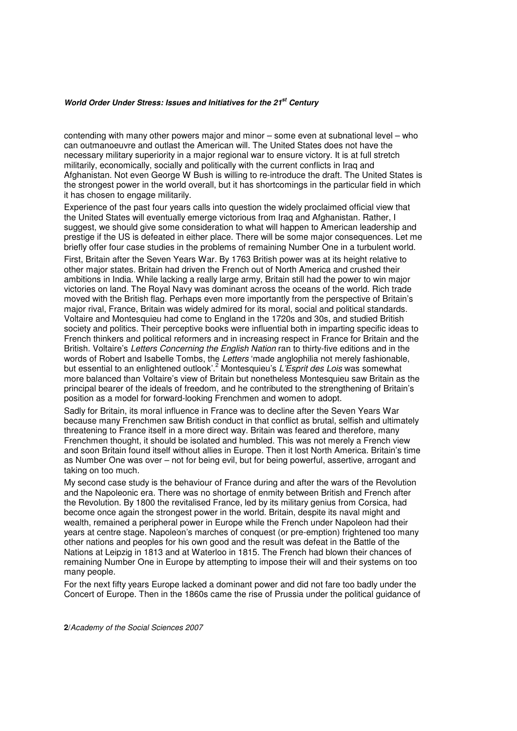contending with many other powers major and minor – some even at subnational level – who can outmanoeuvre and outlast the American will. The United States does not have the necessary military superiority in a major regional war to ensure victory. It is at full stretch militarily, economically, socially and politically with the current conflicts in Iraq and Afghanistan. Not even George W Bush is willing to re-introduce the draft. The United States is the strongest power in the world overall, but it has shortcomings in the particular field in which it has chosen to engage militarily.

Experience of the past four years calls into question the widely proclaimed official view that the United States will eventually emerge victorious from Iraq and Afghanistan. Rather, I suggest, we should give some consideration to what will happen to American leadership and prestige if the US is defeated in either place. There will be some major consequences. Let me briefly offer four case studies in the problems of remaining Number One in a turbulent world.

First, Britain after the Seven Years War. By 1763 British power was at its height relative to other major states. Britain had driven the French out of North America and crushed their ambitions in India. While lacking a really large army, Britain still had the power to win major victories on land. The Royal Navy was dominant across the oceans of the world. Rich trade moved with the British flag. Perhaps even more importantly from the perspective of Britain's major rival, France, Britain was widely admired for its moral, social and political standards. Voltaire and Montesquieu had come to England in the 1720s and 30s, and studied British society and politics. Their perceptive books were influential both in imparting specific ideas to French thinkers and political reformers and in increasing respect in France for Britain and the British. Voltaire's Letters Concerning the English Nation ran to thirty-five editions and in the words of Robert and Isabelle Tombs, the Letters 'made anglophilia not merely fashionable. but essential to an enlightened outlook'.<sup>2</sup> Montesquieu's L'Esprit des Lois was somewhat more balanced than Voltaire's view of Britain but nonetheless Montesquieu saw Britain as the principal bearer of the ideals of freedom, and he contributed to the strengthening of Britain's position as a model for forward-looking Frenchmen and women to adopt.

Sadly for Britain, its moral influence in France was to decline after the Seven Years War because many Frenchmen saw British conduct in that conflict as brutal, selfish and ultimately threatening to France itself in a more direct way. Britain was feared and therefore, many Frenchmen thought, it should be isolated and humbled. This was not merely a French view and soon Britain found itself without allies in Europe. Then it lost North America. Britain's time as Number One was over – not for being evil, but for being powerful, assertive, arrogant and taking on too much.

My second case study is the behaviour of France during and after the wars of the Revolution and the Napoleonic era. There was no shortage of enmity between British and French after the Revolution. By 1800 the revitalised France, led by its military genius from Corsica, had become once again the strongest power in the world. Britain, despite its naval might and wealth, remained a peripheral power in Europe while the French under Napoleon had their years at centre stage. Napoleon's marches of conquest (or pre-emption) frightened too many other nations and peoples for his own good and the result was defeat in the Battle of the Nations at Leipzig in 1813 and at Waterloo in 1815. The French had blown their chances of remaining Number One in Europe by attempting to impose their will and their systems on too many people.

For the next fifty years Europe lacked a dominant power and did not fare too badly under the Concert of Europe. Then in the 1860s came the rise of Prussia under the political guidance of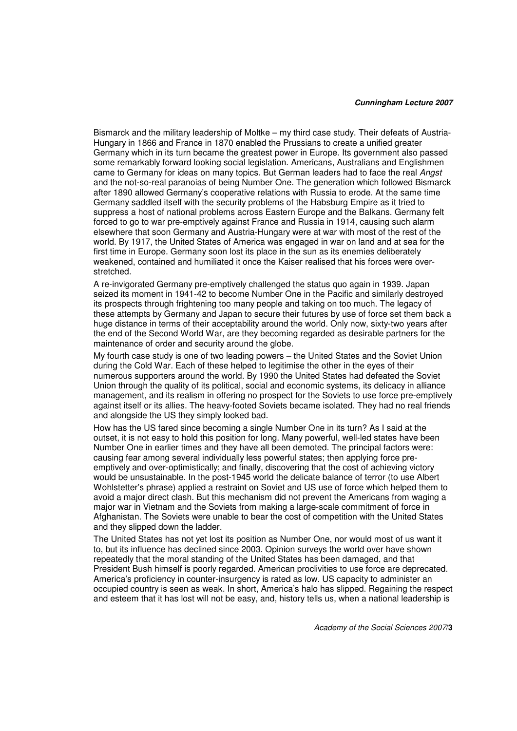Bismarck and the military leadership of Moltke – my third case study. Their defeats of Austria-Hungary in 1866 and France in 1870 enabled the Prussians to create a unified greater Germany which in its turn became the greatest power in Europe. Its government also passed some remarkably forward looking social legislation. Americans, Australians and Englishmen came to Germany for ideas on many topics. But German leaders had to face the real Angst and the not-so-real paranoias of being Number One. The generation which followed Bismarck after 1890 allowed Germany's cooperative relations with Russia to erode. At the same time Germany saddled itself with the security problems of the Habsburg Empire as it tried to suppress a host of national problems across Eastern Europe and the Balkans. Germany felt forced to go to war pre-emptively against France and Russia in 1914, causing such alarm elsewhere that soon Germany and Austria-Hungary were at war with most of the rest of the world. By 1917, the United States of America was engaged in war on land and at sea for the first time in Europe. Germany soon lost its place in the sun as its enemies deliberately weakened, contained and humiliated it once the Kaiser realised that his forces were overstretched.

A re-invigorated Germany pre-emptively challenged the status quo again in 1939. Japan seized its moment in 1941-42 to become Number One in the Pacific and similarly destroyed its prospects through frightening too many people and taking on too much. The legacy of these attempts by Germany and Japan to secure their futures by use of force set them back a huge distance in terms of their acceptability around the world. Only now, sixty-two years after the end of the Second World War, are they becoming regarded as desirable partners for the maintenance of order and security around the globe.

My fourth case study is one of two leading powers – the United States and the Soviet Union during the Cold War. Each of these helped to legitimise the other in the eyes of their numerous supporters around the world. By 1990 the United States had defeated the Soviet Union through the quality of its political, social and economic systems, its delicacy in alliance management, and its realism in offering no prospect for the Soviets to use force pre-emptively against itself or its allies. The heavy-footed Soviets became isolated. They had no real friends and alongside the US they simply looked bad.

How has the US fared since becoming a single Number One in its turn? As I said at the outset, it is not easy to hold this position for long. Many powerful, well-led states have been Number One in earlier times and they have all been demoted. The principal factors were: causing fear among several individually less powerful states; then applying force preemptively and over-optimistically; and finally, discovering that the cost of achieving victory would be unsustainable. In the post-1945 world the delicate balance of terror (to use Albert Wohlstetter's phrase) applied a restraint on Soviet and US use of force which helped them to avoid a major direct clash. But this mechanism did not prevent the Americans from waging a major war in Vietnam and the Soviets from making a large-scale commitment of force in Afghanistan. The Soviets were unable to bear the cost of competition with the United States and they slipped down the ladder.

The United States has not yet lost its position as Number One, nor would most of us want it to, but its influence has declined since 2003. Opinion surveys the world over have shown repeatedly that the moral standing of the United States has been damaged, and that President Bush himself is poorly regarded. American proclivities to use force are deprecated. America's proficiency in counter-insurgency is rated as low. US capacity to administer an occupied country is seen as weak. In short, America's halo has slipped. Regaining the respect and esteem that it has lost will not be easy, and, history tells us, when a national leadership is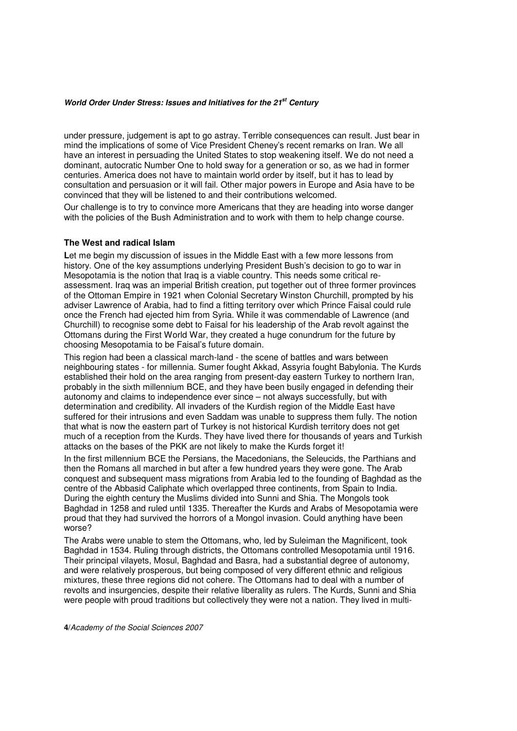under pressure, judgement is apt to go astray. Terrible consequences can result. Just bear in mind the implications of some of Vice President Cheney's recent remarks on Iran. We all have an interest in persuading the United States to stop weakening itself. We do not need a dominant, autocratic Number One to hold sway for a generation or so, as we had in former centuries. America does not have to maintain world order by itself, but it has to lead by consultation and persuasion or it will fail. Other major powers in Europe and Asia have to be convinced that they will be listened to and their contributions welcomed.

Our challenge is to try to convince more Americans that they are heading into worse danger with the policies of the Bush Administration and to work with them to help change course.

# **The West and radical Islam**

**L**et me begin my discussion of issues in the Middle East with a few more lessons from history. One of the key assumptions underlying President Bush's decision to go to war in Mesopotamia is the notion that Iraq is a viable country. This needs some critical reassessment. Iraq was an imperial British creation, put together out of three former provinces of the Ottoman Empire in 1921 when Colonial Secretary Winston Churchill, prompted by his adviser Lawrence of Arabia, had to find a fitting territory over which Prince Faisal could rule once the French had ejected him from Syria. While it was commendable of Lawrence (and Churchill) to recognise some debt to Faisal for his leadership of the Arab revolt against the Ottomans during the First World War, they created a huge conundrum for the future by choosing Mesopotamia to be Faisal's future domain.

This region had been a classical march-land - the scene of battles and wars between neighbouring states - for millennia. Sumer fought Akkad, Assyria fought Babylonia. The Kurds established their hold on the area ranging from present-day eastern Turkey to northern Iran, probably in the sixth millennium BCE, and they have been busily engaged in defending their autonomy and claims to independence ever since – not always successfully, but with determination and credibility. All invaders of the Kurdish region of the Middle East have suffered for their intrusions and even Saddam was unable to suppress them fully. The notion that what is now the eastern part of Turkey is not historical Kurdish territory does not get much of a reception from the Kurds. They have lived there for thousands of years and Turkish attacks on the bases of the PKK are not likely to make the Kurds forget it!

In the first millennium BCE the Persians, the Macedonians, the Seleucids, the Parthians and then the Romans all marched in but after a few hundred years they were gone. The Arab conquest and subsequent mass migrations from Arabia led to the founding of Baghdad as the centre of the Abbasid Caliphate which overlapped three continents, from Spain to India. During the eighth century the Muslims divided into Sunni and Shia. The Mongols took Baghdad in 1258 and ruled until 1335. Thereafter the Kurds and Arabs of Mesopotamia were proud that they had survived the horrors of a Mongol invasion. Could anything have been worse?

The Arabs were unable to stem the Ottomans, who, led by Suleiman the Magnificent, took Baghdad in 1534. Ruling through districts, the Ottomans controlled Mesopotamia until 1916. Their principal vilayets, Mosul, Baghdad and Basra, had a substantial degree of autonomy, and were relatively prosperous, but being composed of very different ethnic and religious mixtures, these three regions did not cohere. The Ottomans had to deal with a number of revolts and insurgencies, despite their relative liberality as rulers. The Kurds, Sunni and Shia were people with proud traditions but collectively they were not a nation. They lived in multi-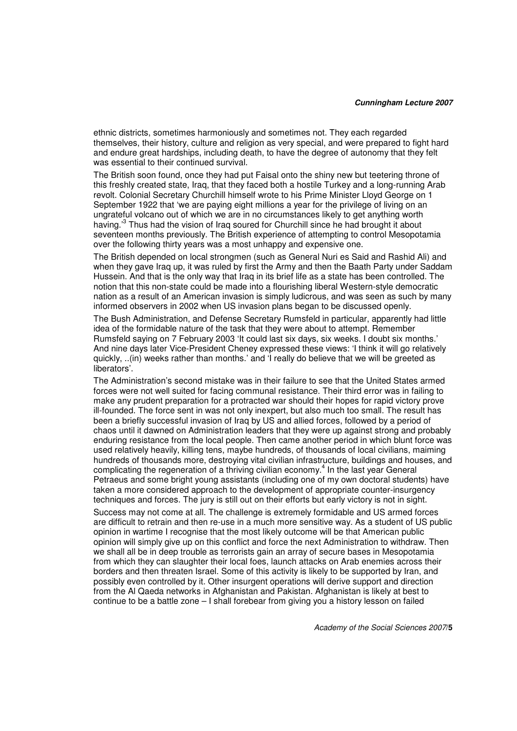ethnic districts, sometimes harmoniously and sometimes not. They each regarded themselves, their history, culture and religion as very special, and were prepared to fight hard and endure great hardships, including death, to have the degree of autonomy that they felt was essential to their continued survival.

The British soon found, once they had put Faisal onto the shiny new but teetering throne of this freshly created state, Iraq, that they faced both a hostile Turkey and a long-running Arab revolt. Colonial Secretary Churchill himself wrote to his Prime Minister Lloyd George on 1 September 1922 that 'we are paying eight millions a year for the privilege of living on an ungrateful volcano out of which we are in no circumstances likely to get anything worth having.<sup>3</sup> Thus had the vision of Iraq soured for Churchill since he had brought it about seventeen months previously. The British experience of attempting to control Mesopotamia over the following thirty years was a most unhappy and expensive one.

The British depended on local strongmen (such as General Nuri es Said and Rashid Ali) and when they gave Iraq up, it was ruled by first the Army and then the Baath Party under Saddam Hussein. And that is the only way that Iraq in its brief life as a state has been controlled. The notion that this non-state could be made into a flourishing liberal Western-style democratic nation as a result of an American invasion is simply ludicrous, and was seen as such by many informed observers in 2002 when US invasion plans began to be discussed openly.

The Bush Administration, and Defense Secretary Rumsfeld in particular, apparently had little idea of the formidable nature of the task that they were about to attempt. Remember Rumsfeld saying on 7 February 2003 'It could last six days, six weeks. I doubt six months.' And nine days later Vice-President Cheney expressed these views: 'I think it will go relatively quickly, ..(in) weeks rather than months.' and 'I really do believe that we will be greeted as liberators'.

The Administration's second mistake was in their failure to see that the United States armed forces were not well suited for facing communal resistance. Their third error was in failing to make any prudent preparation for a protracted war should their hopes for rapid victory prove ill-founded. The force sent in was not only inexpert, but also much too small. The result has been a briefly successful invasion of Iraq by US and allied forces, followed by a period of chaos until it dawned on Administration leaders that they were up against strong and probably enduring resistance from the local people. Then came another period in which blunt force was used relatively heavily, killing tens, maybe hundreds, of thousands of local civilians, maiming hundreds of thousands more, destroying vital civilian infrastructure, buildings and houses, and complicating the regeneration of a thriving civilian economy.<sup>4</sup> In the last year General Petraeus and some bright young assistants (including one of my own doctoral students) have taken a more considered approach to the development of appropriate counter-insurgency techniques and forces. The jury is still out on their efforts but early victory is not in sight.

Success may not come at all. The challenge is extremely formidable and US armed forces are difficult to retrain and then re-use in a much more sensitive way. As a student of US public opinion in wartime I recognise that the most likely outcome will be that American public opinion will simply give up on this conflict and force the next Administration to withdraw. Then we shall all be in deep trouble as terrorists gain an array of secure bases in Mesopotamia from which they can slaughter their local foes, launch attacks on Arab enemies across their borders and then threaten Israel. Some of this activity is likely to be supported by Iran, and possibly even controlled by it. Other insurgent operations will derive support and direction from the Al Qaeda networks in Afghanistan and Pakistan. Afghanistan is likely at best to continue to be a battle zone – I shall forebear from giving you a history lesson on failed

Academy of the Social Sciences 2007/**5**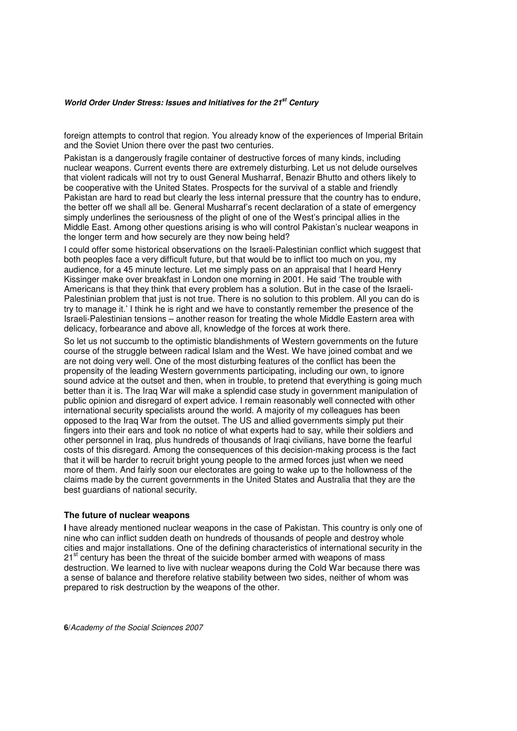foreign attempts to control that region. You already know of the experiences of Imperial Britain and the Soviet Union there over the past two centuries.

Pakistan is a dangerously fragile container of destructive forces of many kinds, including nuclear weapons. Current events there are extremely disturbing. Let us not delude ourselves that violent radicals will not try to oust General Musharraf, Benazir Bhutto and others likely to be cooperative with the United States. Prospects for the survival of a stable and friendly Pakistan are hard to read but clearly the less internal pressure that the country has to endure, the better off we shall all be. General Musharraf's recent declaration of a state of emergency simply underlines the seriousness of the plight of one of the West's principal allies in the Middle East. Among other questions arising is who will control Pakistan's nuclear weapons in the longer term and how securely are they now being held?

I could offer some historical observations on the Israeli-Palestinian conflict which suggest that both peoples face a very difficult future, but that would be to inflict too much on you, my audience, for a 45 minute lecture. Let me simply pass on an appraisal that I heard Henry Kissinger make over breakfast in London one morning in 2001. He said 'The trouble with Americans is that they think that every problem has a solution. But in the case of the Israeli-Palestinian problem that just is not true. There is no solution to this problem. All you can do is try to manage it.' I think he is right and we have to constantly remember the presence of the Israeli-Palestinian tensions – another reason for treating the whole Middle Eastern area with delicacy, forbearance and above all, knowledge of the forces at work there.

So let us not succumb to the optimistic blandishments of Western governments on the future course of the struggle between radical Islam and the West. We have joined combat and we are not doing very well. One of the most disturbing features of the conflict has been the propensity of the leading Western governments participating, including our own, to ignore sound advice at the outset and then, when in trouble, to pretend that everything is going much better than it is. The Iraq War will make a splendid case study in government manipulation of public opinion and disregard of expert advice. I remain reasonably well connected with other international security specialists around the world. A majority of my colleagues has been opposed to the Iraq War from the outset. The US and allied governments simply put their fingers into their ears and took no notice of what experts had to say, while their soldiers and other personnel in Iraq, plus hundreds of thousands of Iraqi civilians, have borne the fearful costs of this disregard. Among the consequences of this decision-making process is the fact that it will be harder to recruit bright young people to the armed forces just when we need more of them. And fairly soon our electorates are going to wake up to the hollowness of the claims made by the current governments in the United States and Australia that they are the best guardians of national security.

# **The future of nuclear weapons**

**I** have already mentioned nuclear weapons in the case of Pakistan. This country is only one of nine who can inflict sudden death on hundreds of thousands of people and destroy whole cities and major installations. One of the defining characteristics of international security in the  $21<sup>st</sup>$  century has been the threat of the suicide bomber armed with weapons of mass destruction. We learned to live with nuclear weapons during the Cold War because there was a sense of balance and therefore relative stability between two sides, neither of whom was prepared to risk destruction by the weapons of the other.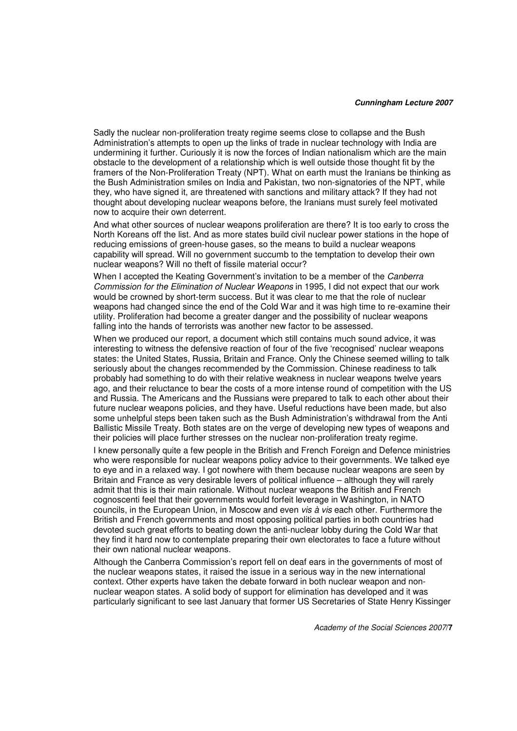Sadly the nuclear non-proliferation treaty regime seems close to collapse and the Bush Administration's attempts to open up the links of trade in nuclear technology with India are undermining it further. Curiously it is now the forces of Indian nationalism which are the main obstacle to the development of a relationship which is well outside those thought fit by the framers of the Non-Proliferation Treaty (NPT). What on earth must the Iranians be thinking as the Bush Administration smiles on India and Pakistan, two non-signatories of the NPT, while they, who have signed it, are threatened with sanctions and military attack? If they had not thought about developing nuclear weapons before, the Iranians must surely feel motivated now to acquire their own deterrent.

And what other sources of nuclear weapons proliferation are there? It is too early to cross the North Koreans off the list. And as more states build civil nuclear power stations in the hope of reducing emissions of green-house gases, so the means to build a nuclear weapons capability will spread. Will no government succumb to the temptation to develop their own nuclear weapons? Will no theft of fissile material occur?

When I accepted the Keating Government's invitation to be a member of the *Canberra* Commission for the Elimination of Nuclear Weapons in 1995, I did not expect that our work would be crowned by short-term success. But it was clear to me that the role of nuclear weapons had changed since the end of the Cold War and it was high time to re-examine their utility. Proliferation had become a greater danger and the possibility of nuclear weapons falling into the hands of terrorists was another new factor to be assessed.

When we produced our report, a document which still contains much sound advice, it was interesting to witness the defensive reaction of four of the five 'recognised' nuclear weapons states: the United States, Russia, Britain and France. Only the Chinese seemed willing to talk seriously about the changes recommended by the Commission. Chinese readiness to talk probably had something to do with their relative weakness in nuclear weapons twelve years ago, and their reluctance to bear the costs of a more intense round of competition with the US and Russia. The Americans and the Russians were prepared to talk to each other about their future nuclear weapons policies, and they have. Useful reductions have been made, but also some unhelpful steps been taken such as the Bush Administration's withdrawal from the Anti Ballistic Missile Treaty. Both states are on the verge of developing new types of weapons and their policies will place further stresses on the nuclear non-proliferation treaty regime.

I knew personally quite a few people in the British and French Foreign and Defence ministries who were responsible for nuclear weapons policy advice to their governments. We talked eye to eye and in a relaxed way. I got nowhere with them because nuclear weapons are seen by Britain and France as very desirable levers of political influence – although they will rarely admit that this is their main rationale. Without nuclear weapons the British and French cognoscenti feel that their governments would forfeit leverage in Washington, in NATO councils, in the European Union, in Moscow and even vis à vis each other. Furthermore the British and French governments and most opposing political parties in both countries had devoted such great efforts to beating down the anti-nuclear lobby during the Cold War that they find it hard now to contemplate preparing their own electorates to face a future without their own national nuclear weapons.

Although the Canberra Commission's report fell on deaf ears in the governments of most of the nuclear weapons states, it raised the issue in a serious way in the new international context. Other experts have taken the debate forward in both nuclear weapon and nonnuclear weapon states. A solid body of support for elimination has developed and it was particularly significant to see last January that former US Secretaries of State Henry Kissinger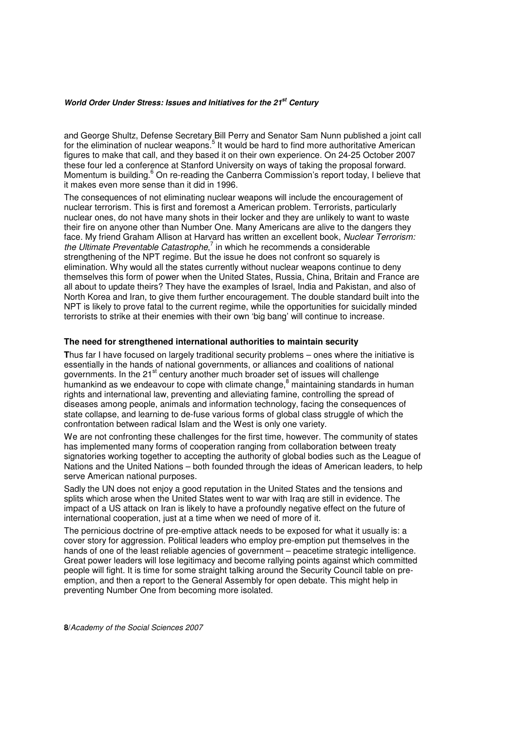and George Shultz, Defense Secretary Bill Perry and Senator Sam Nunn published a joint call for the elimination of nuclear weapons.<sup>5</sup> It would be hard to find more authoritative American figures to make that call, and they based it on their own experience. On 24-25 October 2007 these four led a conference at Stanford University on ways of taking the proposal forward. Momentum is building.<sup>6</sup> On re-reading the Canberra Commission's report today, I believe that it makes even more sense than it did in 1996.

The consequences of not eliminating nuclear weapons will include the encouragement of nuclear terrorism. This is first and foremost a American problem. Terrorists, particularly nuclear ones, do not have many shots in their locker and they are unlikely to want to waste their fire on anyone other than Number One. Many Americans are alive to the dangers they face. My friend Graham Allison at Harvard has written an excellent book, Nuclear Terrorism: the Ultimate Preventable Catastrophe, $7$  in which he recommends a considerable strengthening of the NPT regime. But the issue he does not confront so squarely is elimination. Why would all the states currently without nuclear weapons continue to deny themselves this form of power when the United States, Russia, China, Britain and France are all about to update theirs? They have the examples of Israel, India and Pakistan, and also of North Korea and Iran, to give them further encouragement. The double standard built into the NPT is likely to prove fatal to the current regime, while the opportunities for suicidally minded terrorists to strike at their enemies with their own 'big bang' will continue to increase.

# **The need for strengthened international authorities to maintain security**

**T**hus far I have focused on largely traditional security problems – ones where the initiative is essentially in the hands of national governments, or alliances and coalitions of national governments. In the 21<sup>st</sup> century another much broader set of issues will challenge humankind as we endeavour to cope with climate change, $^8$  maintaining standards in human rights and international law, preventing and alleviating famine, controlling the spread of diseases among people, animals and information technology, facing the consequences of state collapse, and learning to de-fuse various forms of global class struggle of which the confrontation between radical Islam and the West is only one variety.

We are not confronting these challenges for the first time, however. The community of states has implemented many forms of cooperation ranging from collaboration between treaty signatories working together to accepting the authority of global bodies such as the League of Nations and the United Nations – both founded through the ideas of American leaders, to help serve American national purposes.

Sadly the UN does not enjoy a good reputation in the United States and the tensions and splits which arose when the United States went to war with Iraq are still in evidence. The impact of a US attack on Iran is likely to have a profoundly negative effect on the future of international cooperation, just at a time when we need of more of it.

The pernicious doctrine of pre-emptive attack needs to be exposed for what it usually is: a cover story for aggression. Political leaders who employ pre-emption put themselves in the hands of one of the least reliable agencies of government – peacetime strategic intelligence. Great power leaders will lose legitimacy and become rallying points against which committed people will fight. It is time for some straight talking around the Security Council table on preemption, and then a report to the General Assembly for open debate. This might help in preventing Number One from becoming more isolated.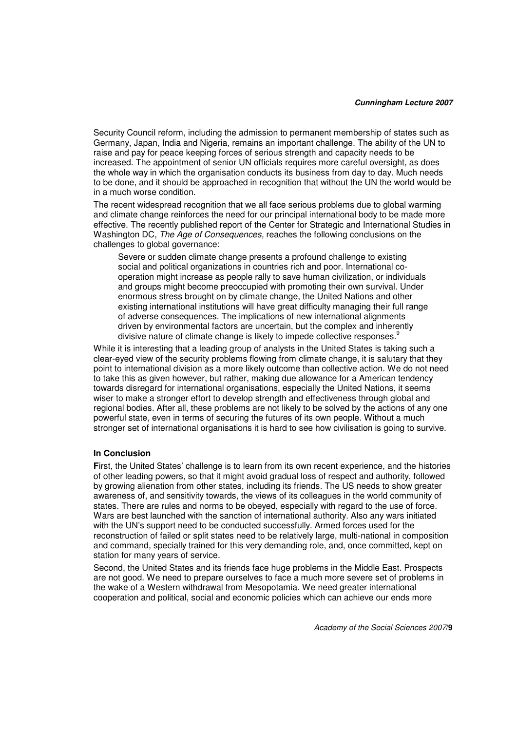Security Council reform, including the admission to permanent membership of states such as Germany, Japan, India and Nigeria, remains an important challenge. The ability of the UN to raise and pay for peace keeping forces of serious strength and capacity needs to be increased. The appointment of senior UN officials requires more careful oversight, as does the whole way in which the organisation conducts its business from day to day. Much needs to be done, and it should be approached in recognition that without the UN the world would be in a much worse condition.

The recent widespread recognition that we all face serious problems due to global warming and climate change reinforces the need for our principal international body to be made more effective. The recently published report of the Center for Strategic and International Studies in Washington DC, The Age of Consequences, reaches the following conclusions on the challenges to global governance:

Severe or sudden climate change presents a profound challenge to existing social and political organizations in countries rich and poor. International cooperation might increase as people rally to save human civilization, or individuals and groups might become preoccupied with promoting their own survival. Under enormous stress brought on by climate change, the United Nations and other existing international institutions will have great difficulty managing their full range of adverse consequences. The implications of new international alignments driven by environmental factors are uncertain, but the complex and inherently divisive nature of climate change is likely to impede collective responses.<sup>9</sup>

While it is interesting that a leading group of analysts in the United States is taking such a clear-eyed view of the security problems flowing from climate change, it is salutary that they point to international division as a more likely outcome than collective action. We do not need to take this as given however, but rather, making due allowance for a American tendency towards disregard for international organisations, especially the United Nations, it seems wiser to make a stronger effort to develop strength and effectiveness through global and regional bodies. After all, these problems are not likely to be solved by the actions of any one powerful state, even in terms of securing the futures of its own people. Without a much stronger set of international organisations it is hard to see how civilisation is going to survive.

#### **In Conclusion**

**F**irst, the United States' challenge is to learn from its own recent experience, and the histories of other leading powers, so that it might avoid gradual loss of respect and authority, followed by growing alienation from other states, including its friends. The US needs to show greater awareness of, and sensitivity towards, the views of its colleagues in the world community of states. There are rules and norms to be obeyed, especially with regard to the use of force. Wars are best launched with the sanction of international authority. Also any wars initiated with the UN's support need to be conducted successfully. Armed forces used for the reconstruction of failed or split states need to be relatively large, multi-national in composition and command, specially trained for this very demanding role, and, once committed, kept on station for many years of service.

Second, the United States and its friends face huge problems in the Middle East. Prospects are not good. We need to prepare ourselves to face a much more severe set of problems in the wake of a Western withdrawal from Mesopotamia. We need greater international cooperation and political, social and economic policies which can achieve our ends more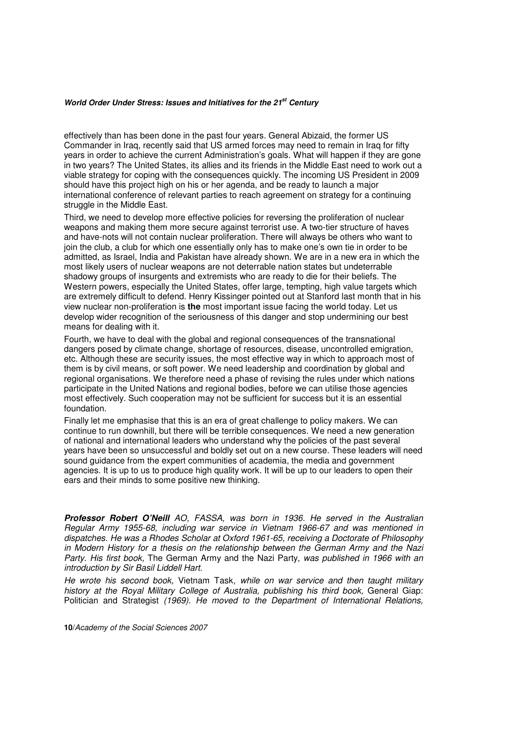effectively than has been done in the past four years. General Abizaid, the former US Commander in Iraq, recently said that US armed forces may need to remain in Iraq for fifty years in order to achieve the current Administration's goals. What will happen if they are gone in two years? The United States, its allies and its friends in the Middle East need to work out a viable strategy for coping with the consequences quickly. The incoming US President in 2009 should have this project high on his or her agenda, and be ready to launch a major international conference of relevant parties to reach agreement on strategy for a continuing struggle in the Middle East.

Third, we need to develop more effective policies for reversing the proliferation of nuclear weapons and making them more secure against terrorist use. A two-tier structure of haves and have-nots will not contain nuclear proliferation. There will always be others who want to join the club, a club for which one essentially only has to make one's own tie in order to be admitted, as Israel, India and Pakistan have already shown. We are in a new era in which the most likely users of nuclear weapons are not deterrable nation states but undeterrable shadowy groups of insurgents and extremists who are ready to die for their beliefs. The Western powers, especially the United States, offer large, tempting, high value targets which are extremely difficult to defend. Henry Kissinger pointed out at Stanford last month that in his view nuclear non-proliferation is **the** most important issue facing the world today. Let us develop wider recognition of the seriousness of this danger and stop undermining our best means for dealing with it.

Fourth, we have to deal with the global and regional consequences of the transnational dangers posed by climate change, shortage of resources, disease, uncontrolled emigration, etc. Although these are security issues, the most effective way in which to approach most of them is by civil means, or soft power. We need leadership and coordination by global and regional organisations. We therefore need a phase of revising the rules under which nations participate in the United Nations and regional bodies, before we can utilise those agencies most effectively. Such cooperation may not be sufficient for success but it is an essential foundation.

Finally let me emphasise that this is an era of great challenge to policy makers. We can continue to run downhill, but there will be terrible consequences. We need a new generation of national and international leaders who understand why the policies of the past several years have been so unsuccessful and boldly set out on a new course. These leaders will need sound guidance from the expert communities of academia, the media and government agencies. It is up to us to produce high quality work. It will be up to our leaders to open their ears and their minds to some positive new thinking.

**Professor Robert O'Neill** AO, FASSA, was born in 1936. He served in the Australian Regular Army 1955-68, including war service in Vietnam 1966-67 and was mentioned in dispatches. He was a Rhodes Scholar at Oxford 1961-65, receiving a Doctorate of Philosophy in Modern History for a thesis on the relationship between the German Army and the Nazi Party. His first book, The German Army and the Nazi Party, was published in 1966 with an introduction by Sir Basil Liddell Hart.

He wrote his second book, Vietnam Task, while on war service and then taught military history at the Royal Military College of Australia, publishing his third book, General Giap: Politician and Strategist (1969). He moved to the Department of International Relations,

**10**/Academy of the Social Sciences 2007